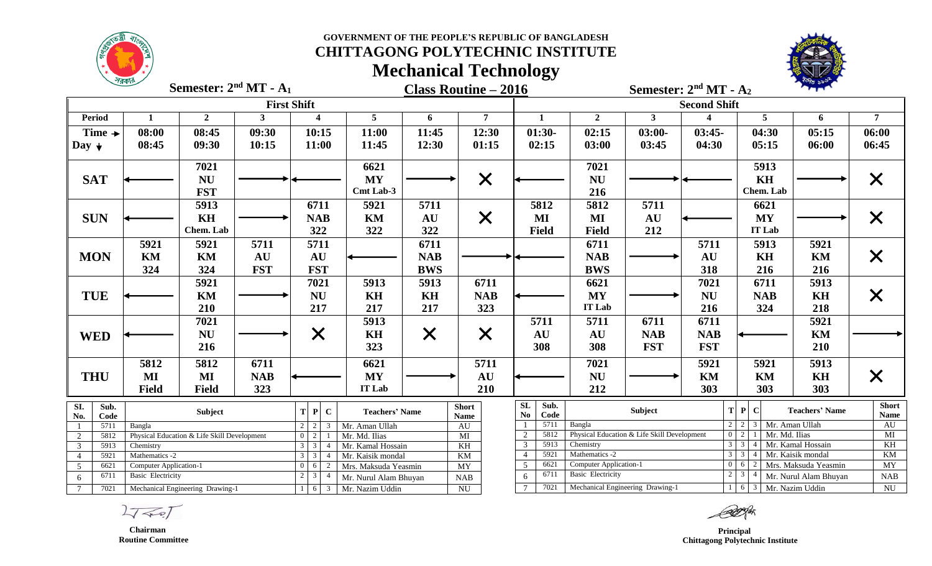# **CHITTAGONG POLYTECHNIC INSTITUTE Mechanical Technology**



**Class Routine – 2016 Semester: 2 Semester: 2 nd MT - A<sup>2</sup> Semester: 2<sup>nd</sup> MT - A<sub>1</sub>** 

|                                                  |                                                                                                                                                                  |                |            | <b>First Shift</b>                                          |                       |            | <b>Second Shift</b> |                |                          |                                             |            |                                                                              |                       |                                           |
|--------------------------------------------------|------------------------------------------------------------------------------------------------------------------------------------------------------------------|----------------|------------|-------------------------------------------------------------|-----------------------|------------|---------------------|----------------|--------------------------|---------------------------------------------|------------|------------------------------------------------------------------------------|-----------------------|-------------------------------------------|
| <b>Period</b>                                    |                                                                                                                                                                  | $\overline{2}$ | 3          | $\boldsymbol{\Lambda}$                                      | 5                     | 6          | 7                   | $\mathbf{1}$   | $\overline{2}$           | $\mathbf{3}$                                |            | 5                                                                            | 6                     | $\overline{7}$                            |
| Time $\rightarrow$                               | 08:00                                                                                                                                                            | 08:45          | 09:30      | 10:15                                                       | 11:00                 | 11:45      | 12:30               | $01:30-$       | 02:15                    | $03:00-$                                    | $03:45-$   | 04:30                                                                        | 05:15                 | 06:00                                     |
| Day $\downarrow$                                 | 08:45                                                                                                                                                            | 09:30          | 10:15      | 11:00                                                       | 11:45                 | 12:30      | 01:15               | 02:15          | 03:00                    | 03:45                                       | 04:30      | 05:15                                                                        | 06:00                 | 06:45                                     |
|                                                  |                                                                                                                                                                  |                |            |                                                             |                       |            |                     |                |                          |                                             |            |                                                                              |                       |                                           |
|                                                  |                                                                                                                                                                  | 7021           |            |                                                             | 6621                  |            |                     |                | 7021                     |                                             |            | 5913                                                                         |                       |                                           |
| <b>SAT</b>                                       |                                                                                                                                                                  | <b>NU</b>      |            |                                                             | <b>MY</b>             |            | $\times$            |                | <b>NU</b>                |                                             |            | KH                                                                           |                       | $\bm{\mathsf{X}}$                         |
|                                                  |                                                                                                                                                                  | <b>FST</b>     |            |                                                             | Cmt Lab-3             |            |                     |                | 216                      |                                             |            | Chem. Lab                                                                    |                       |                                           |
|                                                  |                                                                                                                                                                  | 5913           |            | 6711                                                        | 5921                  | 5711       |                     | 5812           | 5812                     | 5711                                        |            | 6621                                                                         |                       |                                           |
| <b>SUN</b>                                       |                                                                                                                                                                  | <b>KH</b>      |            | <b>NAB</b>                                                  | KM                    | AU         | $\times$            | MI             | MI                       | AU                                          |            | <b>MY</b>                                                                    |                       | $\times$                                  |
|                                                  |                                                                                                                                                                  | Chem. Lab      |            | 322                                                         | 322                   | 322        |                     | <b>Field</b>   | <b>Field</b>             | 212                                         |            | IT Lab                                                                       |                       |                                           |
|                                                  | 5921                                                                                                                                                             | 5921           | 5711       | 5711                                                        |                       | 6711       |                     |                | 6711                     |                                             | 5711       | 5913                                                                         | 5921                  |                                           |
| <b>MON</b>                                       | KM                                                                                                                                                               | KM             | <b>AU</b>  | <b>AU</b>                                                   |                       | <b>NAB</b> |                     |                | <b>NAB</b>               |                                             | AU         | KH                                                                           | KM                    | $\bm{\mathsf{X}}$                         |
|                                                  | 324                                                                                                                                                              | 324            | <b>FST</b> | <b>FST</b>                                                  |                       | <b>BWS</b> |                     |                | <b>BWS</b>               |                                             | 318        | 216                                                                          | 216                   |                                           |
|                                                  |                                                                                                                                                                  | 5921           |            | 7021                                                        | 5913                  | 5913       | 6711                |                | 6621                     |                                             | 7021       | 6711                                                                         | 5913                  |                                           |
| <b>TUE</b>                                       |                                                                                                                                                                  | KM             |            | <b>NU</b>                                                   | KH                    | KH         | <b>NAB</b>          |                | <b>MY</b>                |                                             | <b>NU</b>  | <b>NAB</b>                                                                   | KH                    | X                                         |
|                                                  |                                                                                                                                                                  | 210            |            | 217                                                         | 217                   | 217        | 323                 |                | IT Lab                   |                                             | 216        | 324                                                                          | 218                   |                                           |
|                                                  |                                                                                                                                                                  | 7021           |            |                                                             | 5913                  |            |                     | 5711           | 5711                     | 6711                                        | 6711       |                                                                              | 5921                  |                                           |
|                                                  |                                                                                                                                                                  | <b>NU</b>      |            |                                                             | KH                    |            |                     | <b>AU</b>      | AU                       | <b>NAB</b>                                  | <b>NAB</b> |                                                                              | KM                    |                                           |
| <b>WED</b>                                       |                                                                                                                                                                  | 216            |            | $\bm{\times}$                                               | 323                   | $\times$   | $\times$            | 308            | 308                      | <b>FST</b>                                  | <b>FST</b> |                                                                              | 210                   |                                           |
|                                                  |                                                                                                                                                                  |                |            |                                                             |                       |            |                     |                |                          |                                             |            |                                                                              |                       |                                           |
|                                                  | 5812                                                                                                                                                             | 5812           | 6711       |                                                             | 6621                  |            | 5711                |                | 7021                     |                                             | 5921       | 5921                                                                         | 5913                  |                                           |
| <b>THU</b>                                       | $\bf{MI}$                                                                                                                                                        | MI             | <b>NAB</b> |                                                             | <b>MY</b>             |            | AU                  |                | <b>NU</b>                |                                             | KM         | KM                                                                           | <b>KH</b>             | $\bm{\mathsf{X}}$                         |
|                                                  | <b>Field</b>                                                                                                                                                     | <b>Field</b>   | 323        |                                                             | IT Lab                |            | 210                 |                | 212                      |                                             | 303        | 303                                                                          | 303                   |                                           |
| $\overline{SL}$<br>Sub.                          |                                                                                                                                                                  |                |            | $T$ $P$<br>$\mathbf C$                                      | <b>Teachers' Name</b> |            | <b>Short</b>        | SL<br>Sub.     |                          | Subject                                     |            | T P <br>$\mathbf C$                                                          | <b>Teachers' Name</b> | <b>Short</b>                              |
| No.<br>Code                                      |                                                                                                                                                                  | Subject        |            |                                                             |                       |            | <b>Name</b>         | No<br>Code     |                          |                                             |            |                                                                              |                       | <b>Name</b>                               |
| 5711                                             | Bangla                                                                                                                                                           |                |            | $2 \mid 2$<br>3                                             | Mr. Aman Ullah        |            | <b>AU</b>           | 5711<br>5812   | Bangla                   | Physical Education & Life Skill Development |            | $2 \mid 2 \mid 3 \mid Mr$ . Aman Ullah<br>1 Mr. Md. Ilias<br>$0 \mid 2 \mid$ |                       | $\mathbf{A}\mathbf{U}$<br>$\overline{MI}$ |
| $\overline{2}$<br>5812<br>$\overline{3}$<br>5913 | Physical Education & Life Skill Development<br>$0 \quad 2$<br>Mr. Md. Ilias<br>$\overline{MI}$<br>$3 \overline{3}$<br>Mr. Kamal Hossain<br>Chemistry<br>$\Delta$ |                |            | KH                                                          | 5913                  | Chemistry  |                     |                | $3 \overline{)3}$        | Mr. Kamal Hossain                           | KH         |                                                                              |                       |                                           |
| $\overline{4}$<br>5921                           | $3 \mid 3$<br>Mathematics -2<br>$\overline{4}$                                                                                                                   |                |            | Mr. Kaisik mondal                                           |                       | <b>KM</b>  | 5921                | Mathematics -2 |                          |                                             | $3 \mid 3$ | Mr. Kaisik mondal                                                            | <b>KM</b>             |                                           |
| 5<br>6621                                        | Computer Application-1                                                                                                                                           |                |            | $0 \quad 6$<br>2                                            | Mrs. Maksuda Yeasmin  |            | MY                  | 6621           | Computer Application-1   |                                             |            | $0 \quad 6$                                                                  | Mrs. Maksuda Yeasmin  | $\overline{MY}$                           |
| 6711<br>6                                        | <b>Basic Electricity</b>                                                                                                                                         |                |            | $\overline{\mathbf{3}}$<br>2 <sup>1</sup><br>$\overline{4}$ | Mr. Nurul Alam Bhuyan |            | NAB                 | 6711           | <b>Basic Electricity</b> |                                             | 2          | $\overline{3}$<br>Mr. Nurul Alam Bhuyan                                      | NAB                   |                                           |
| $\tau$<br>7021                                   | Mechanical Engineering Drawing-1                                                                                                                                 |                |            | 6 <sup>1</sup><br>$\overline{\mathbf{3}}$                   | Mr. Nazim Uddin       |            | <b>NU</b>           | 7021<br>$\tau$ |                          | Mechanical Engineering Drawing-1            |            | $1 \mid 6 \mid 3 \mid Mr$ . Nazim Uddin                                      |                       | NU                                        |

 $2757$ 

 **Chairman Routine Committee**

 **Principal Chittagong Polytechnic Institute**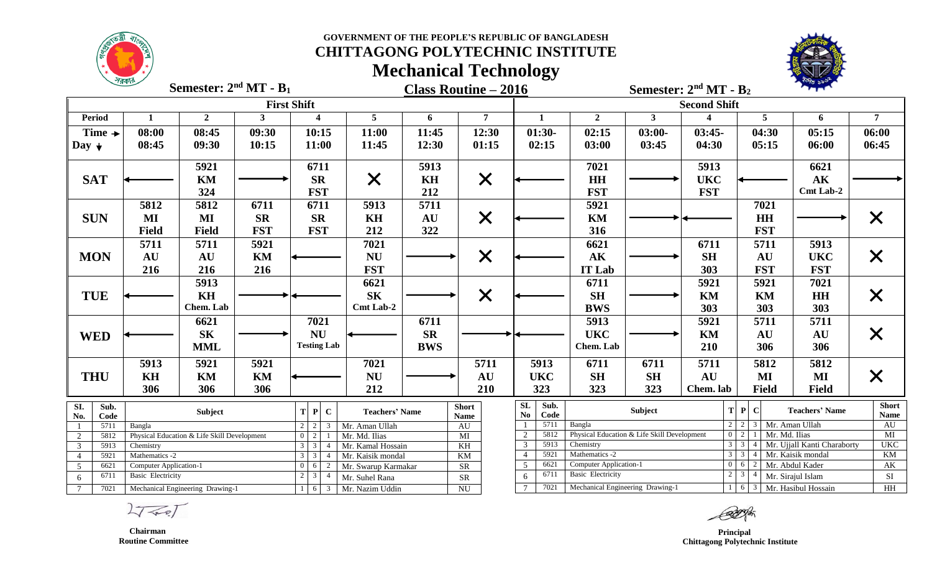

# **CHITTAGONG POLYTECHNIC INSTITUTE Mechanical Technology**



**Class Routine – 2016 Semester: 2 Semester: 2 nd MT - B<sup>2</sup> Semester:**  $2^{nd}$ **MT** - **B**<sub>1</sub>

|                   |                                                                                            |                                                                            |                                             | <b>First Shift</b> |                                                    |                       |                          | <b>Second Shift</b>    |                                                                                                |                 |                       |                           |                                       |                         |                   |
|-------------------|--------------------------------------------------------------------------------------------|----------------------------------------------------------------------------|---------------------------------------------|--------------------|----------------------------------------------------|-----------------------|--------------------------|------------------------|------------------------------------------------------------------------------------------------|-----------------|-----------------------|---------------------------|---------------------------------------|-------------------------|-------------------|
| <b>Period</b>     |                                                                                            | $\mathbf{1}$                                                               | $\overline{2}$                              | 3                  | $\boldsymbol{\Lambda}$                             | 5                     | 6                        | 7                      | $\mathbf{1}$                                                                                   | $\mathbf{2}$    | $\mathbf{3}$          |                           | 5                                     | 6                       | $\overline{7}$    |
|                   | Time $\rightarrow$                                                                         | 08:00                                                                      | 08:45                                       | 09:30              | 10:15                                              | 11:00                 | 11:45                    | 12:30                  | $01:30-$                                                                                       | 02:15           | $03:00-$              | $03:45-$                  | 04:30                                 | 05:15                   | 06:00             |
| Day $\downarrow$  |                                                                                            | 08:45                                                                      | 09:30                                       | 10:15              | 11:00                                              | 11:45                 | 12:30                    | 01:15                  | 02:15                                                                                          | 03:00           | 03:45                 | 04:30                     | 05:15                                 | 06:00                   | 06:45             |
|                   |                                                                                            |                                                                            |                                             |                    |                                                    |                       |                          |                        |                                                                                                |                 |                       |                           |                                       |                         |                   |
|                   |                                                                                            |                                                                            | 5921                                        |                    | 6711                                               |                       | 5913                     |                        |                                                                                                | 7021            |                       | 5913                      |                                       | 6621                    |                   |
| <b>SAT</b>        |                                                                                            |                                                                            | KM                                          |                    | <b>SR</b>                                          | $\bm{\mathsf{X}}$     | KH                       | $\times$               |                                                                                                | <b>HH</b>       |                       | <b>UKC</b>                |                                       | $\mathbf{A}\mathbf{K}$  |                   |
|                   |                                                                                            |                                                                            | 324                                         |                    | <b>FST</b>                                         |                       | 212                      |                        |                                                                                                | <b>FST</b>      |                       | <b>FST</b>                |                                       | Cmt Lab-2               |                   |
|                   |                                                                                            | 5812                                                                       | 5812                                        | 6711               | 6711                                               | 5913                  | 5711                     |                        |                                                                                                | 5921            |                       |                           | 7021                                  |                         |                   |
| <b>SUN</b>        |                                                                                            | MI                                                                         | $\bf{MI}$                                   | <b>SR</b>          | <b>SR</b>                                          | KH                    | AU                       | $\times$               |                                                                                                | <b>KM</b>       |                       |                           | <b>HH</b>                             |                         | $\bm{\mathsf{X}}$ |
|                   |                                                                                            | <b>Field</b>                                                               | <b>Field</b>                                | <b>FST</b>         | <b>FST</b>                                         | 212                   | 322                      |                        |                                                                                                | 316             |                       |                           | <b>FST</b>                            |                         |                   |
|                   |                                                                                            | 5711                                                                       | 5711                                        | 5921               |                                                    | 7021                  |                          |                        |                                                                                                | 6621            |                       | 6711                      | 5711                                  | 5913                    |                   |
| <b>MON</b>        |                                                                                            | <b>AU</b>                                                                  | AU                                          | KM                 |                                                    | <b>NU</b>             |                          | $\bm{\mathsf{X}}$      |                                                                                                | AK              |                       | <b>SH</b>                 | AU                                    | <b>UKC</b>              | $\bm{\mathsf{X}}$ |
|                   |                                                                                            | 216                                                                        | 216                                         | 216                |                                                    | <b>FST</b>            |                          |                        |                                                                                                | <b>IT Lab</b>   |                       | 303                       | <b>FST</b>                            | <b>FST</b>              |                   |
|                   |                                                                                            |                                                                            | 5913                                        |                    |                                                    | 6621                  |                          |                        |                                                                                                | 6711            |                       | 5921                      | 5921                                  | 7021                    |                   |
| <b>TUE</b>        |                                                                                            |                                                                            | KH                                          |                    |                                                    | <b>SK</b>             |                          | $\bm{\mathsf{X}}$      |                                                                                                | <b>SH</b>       |                       | KM                        | KM                                    | HH                      | $\bm{\mathsf{X}}$ |
|                   |                                                                                            |                                                                            | Chem. Lab                                   |                    |                                                    | Cmt Lab-2             |                          |                        |                                                                                                | <b>BWS</b>      |                       | 303                       | 303                                   | 303                     |                   |
|                   |                                                                                            |                                                                            | 6621                                        |                    | 7021                                               |                       | 6711                     |                        |                                                                                                | 5913            |                       | 5921                      | 5711                                  | 5711                    |                   |
| <b>WED</b>        |                                                                                            |                                                                            | <b>SK</b>                                   |                    | <b>NU</b>                                          |                       | <b>SR</b>                |                        | <b>UKC</b>                                                                                     |                 | KM                    | AU                        | <b>AU</b>                             | $\bm{\mathsf{X}}$       |                   |
|                   |                                                                                            |                                                                            | <b>MML</b>                                  |                    | <b>Testing Lab</b>                                 |                       | <b>BWS</b>               |                        |                                                                                                | Chem. Lab       |                       | 210                       | 306                                   | 306                     |                   |
|                   |                                                                                            | 5913                                                                       |                                             |                    |                                                    |                       |                          | 5711                   |                                                                                                |                 |                       |                           |                                       |                         |                   |
|                   |                                                                                            |                                                                            | 5921                                        | 5921               |                                                    | 7021                  |                          |                        | 5913                                                                                           | 6711            | 6711                  | 5711                      | 5812                                  | 5812                    |                   |
| <b>THU</b>        |                                                                                            | <b>KH</b>                                                                  | KM                                          | KM                 |                                                    | <b>NU</b>             |                          | <b>AU</b>              | <b>UKC</b>                                                                                     | <b>SH</b>       | <b>SH</b>             | AU                        | MI                                    | MI                      | $\bm{\mathsf{X}}$ |
|                   |                                                                                            | 306                                                                        | 306                                         | 306                |                                                    | 212                   |                          | 210                    | 323<br>323<br>323<br><b>Field</b><br>Chem. lab                                                 |                 | <b>Field</b>          |                           |                                       |                         |                   |
| $\overline{SI}$ . | Sub.                                                                                       |                                                                            | Subject                                     |                    | $\mathbf{P}$<br>$\mathbf C$<br>T                   | <b>Teachers' Name</b> |                          | <b>Short</b>           | $\overline{\text{SL}}$<br>Sub.<br>T P <br>Subject<br>$\mathbf C$                               |                 | <b>Teachers' Name</b> | <b>Short</b>              |                                       |                         |                   |
| No.               | Code<br>5711                                                                               | Bangla                                                                     |                                             |                    | $\mathcal{R}$                                      | Mr. Aman Ullah        |                          | Name<br><b>AU</b>      | Code<br>N <sub>o</sub><br>5711<br>Bangla<br>$2 \mid 2 \mid 3 \mid$ Mr. Aman Ullah              |                 |                       |                           | <b>Name</b><br>$\mathbf{A}\mathbf{U}$ |                         |                   |
| 2                 | 5812                                                                                       |                                                                            | Physical Education & Life Skill Development |                    | 2                                                  | Mr. Md. Ilias         |                          | $\overline{MI}$        | 5812<br>Physical Education & Life Skill Development<br>Mr. Md. Ilias<br>$0 \mid 2 \mid 1$<br>2 |                 |                       |                           | $\overline{MI}$                       |                         |                   |
| $\mathbf{3}$      | 5913                                                                                       | Chemistry                                                                  |                                             |                    | $\overline{3}$<br>$\overline{3}$<br>$\overline{4}$ | Mr. Kamal Hossain     |                          | $\overline{KH}$        | $3 \mid 3$<br>5913<br>Chemistry<br>3                                                           |                 |                       |                           | Mr. Ujjall Kanti Charaborty           | <b>UKC</b>              |                   |
|                   | 5921                                                                                       | $\mathbf{3}$<br>Mathematics -2<br>Mr. Kaisik mondal<br>$\overline{4}$      |                                             |                    |                                                    | <b>KM</b>             | 5921                     | Mathematics -2         |                                                                                                |                 | $3 \mid 3$            | Mr. Kaisik mondal         | $\overline{KM}$                       |                         |                   |
| $5\overline{)}$   | 6621<br><b>Computer Application-1</b><br>$0 \quad 6$<br>$2^{\circ}$<br>Mr. Swarup Karmakar |                                                                            |                                             |                    | <b>SR</b>                                          | 6621<br>5             | Computer Application-1   |                        |                                                                                                | $0\mid 6\mid 2$ | Mr. Abdul Kader       | $\mathbf{A}\mathbf{K}$    |                                       |                         |                   |
| 6                 | $\mathbf{3}$<br>6711<br><b>Basic Electricity</b><br>$\overline{4}$<br>Mr. Suhel Rana       |                                                                            |                                             |                    | <b>SR</b>                                          | 6711<br>6             | <b>Basic Electricity</b> |                        | $2 \mid 3$                                                                                     |                 | Mr. Sirajul Islam     | SI                        |                                       |                         |                   |
|                   | 7021                                                                                       | Mr. Nazim Uddin<br>Mechanical Engineering Drawing-1<br>3 <sup>1</sup><br>6 |                                             |                    |                                                    |                       | <b>NU</b>                | 7021<br>$\overline{7}$ | Mechanical Engineering Drawing-1                                                               |                 |                       | 1 6 3 Mr. Hasibul Hossain |                                       | $\mathbf{H} \mathbf{H}$ |                   |

 $2777$ 

 **Chairman Routine Committee**

 **Principal Chittagong Polytechnic Institute**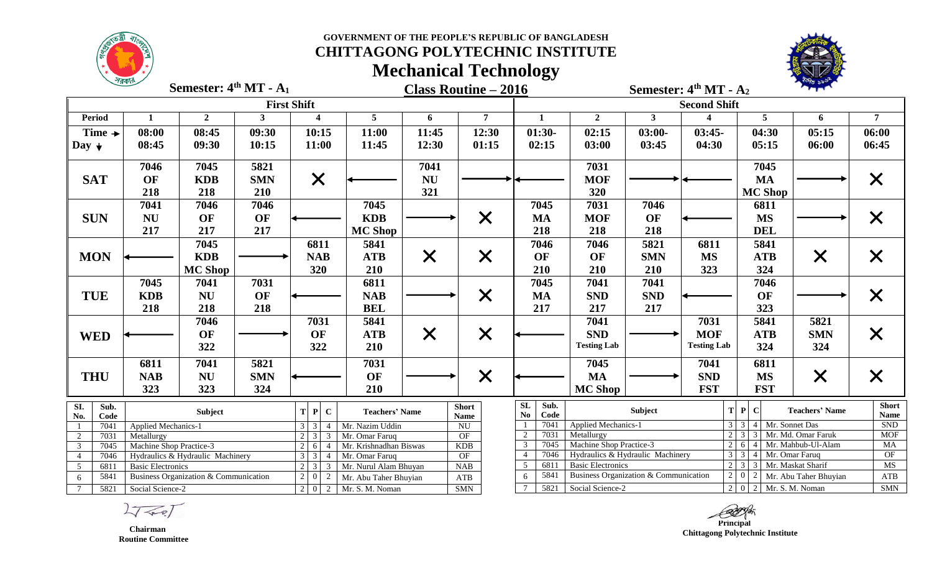### **CHITTAGONG POLYTECHNIC INSTITUTE Mechanical Technology**



**Class Routine – 2016 Semester: 4 Semester: 4 th MT - A<sup>2</sup> th MT - A<sup>1</sup>**

|                                  |                                                                             |                                       |                          | <b>First Shift</b>                                                                                   |                                          | <b>Second Shift</b> |                                     |                                       |                                                     |              |                    |                 |                                                                                                                                                                                                                                                                                                                                                                                                                |                |  |  |  |
|----------------------------------|-----------------------------------------------------------------------------|---------------------------------------|--------------------------|------------------------------------------------------------------------------------------------------|------------------------------------------|---------------------|-------------------------------------|---------------------------------------|-----------------------------------------------------|--------------|--------------------|-----------------|----------------------------------------------------------------------------------------------------------------------------------------------------------------------------------------------------------------------------------------------------------------------------------------------------------------------------------------------------------------------------------------------------------------|----------------|--|--|--|
| <b>Period</b>                    |                                                                             | $\overline{2}$                        | 3                        | $\boldsymbol{4}$                                                                                     | 5                                        | 6                   | 7                                   | 1                                     | $\overline{2}$                                      | $\mathbf{3}$ |                    | 5               | 6                                                                                                                                                                                                                                                                                                                                                                                                              | $\overline{7}$ |  |  |  |
| Time $\rightarrow$               | 08:00                                                                       | 08:45                                 | 09:30                    | 10:15                                                                                                | 11:00                                    | 11:45               | 12:30                               | $01:30-$                              | 02:15                                               | $03:00-$     | $03:45-$           | 04:30           | 05:15                                                                                                                                                                                                                                                                                                                                                                                                          | 06:00          |  |  |  |
| Day $\downarrow$                 | 08:45                                                                       | 09:30                                 | 10:15                    | 11:00                                                                                                | 11:45                                    | 12:30               | 01:15                               | 02:15                                 | 03:00                                               | 03:45        | 04:30              | 05:15           | 06:00                                                                                                                                                                                                                                                                                                                                                                                                          | 06:45          |  |  |  |
|                                  | 7046                                                                        | 7045                                  | 5821                     |                                                                                                      |                                          | 7041                |                                     |                                       | 7031                                                |              |                    | 7045            |                                                                                                                                                                                                                                                                                                                                                                                                                |                |  |  |  |
|                                  |                                                                             |                                       |                          |                                                                                                      |                                          |                     |                                     |                                       |                                                     |              |                    |                 |                                                                                                                                                                                                                                                                                                                                                                                                                |                |  |  |  |
| <b>SAT</b>                       | OF                                                                          | <b>KDB</b>                            | <b>SMN</b>               | $\bm{\times}$                                                                                        |                                          | <b>NU</b>           |                                     |                                       | <b>MOF</b>                                          |              |                    | <b>MA</b>       |                                                                                                                                                                                                                                                                                                                                                                                                                | ${\bm \times}$ |  |  |  |
|                                  | 218                                                                         | 218                                   | 210                      |                                                                                                      |                                          | 321                 |                                     |                                       | 320                                                 |              |                    | <b>MC Shop</b>  |                                                                                                                                                                                                                                                                                                                                                                                                                |                |  |  |  |
|                                  | 7041                                                                        | 7046                                  | 7046                     |                                                                                                      | 7045                                     |                     |                                     | 7045                                  | 7031                                                | 7046         |                    | 6811            |                                                                                                                                                                                                                                                                                                                                                                                                                |                |  |  |  |
| <b>SUN</b>                       | <b>NU</b>                                                                   | OF                                    | OF                       |                                                                                                      | <b>KDB</b>                               |                     | $\times$                            | MA                                    | <b>MOF</b>                                          | OF           |                    | <b>MS</b>       |                                                                                                                                                                                                                                                                                                                                                                                                                |                |  |  |  |
|                                  | 217                                                                         | 217                                   | 217                      |                                                                                                      | <b>MC Shop</b>                           |                     |                                     | 218                                   | 218                                                 | 218          |                    | <b>DEL</b>      |                                                                                                                                                                                                                                                                                                                                                                                                                |                |  |  |  |
|                                  |                                                                             | 7045                                  |                          | 6811                                                                                                 | 5841                                     |                     |                                     | 7046                                  | 7046                                                | 5821         | 6811               | 5841            |                                                                                                                                                                                                                                                                                                                                                                                                                |                |  |  |  |
| <b>MON</b>                       |                                                                             | <b>KDB</b>                            |                          | <b>NAB</b>                                                                                           | <b>ATB</b>                               | $\times$            | $\bm{\times}$                       | OF                                    | OF                                                  | <b>SMN</b>   | <b>MS</b>          | <b>ATB</b>      |                                                                                                                                                                                                                                                                                                                                                                                                                |                |  |  |  |
|                                  |                                                                             | <b>MC Shop</b>                        |                          | 320                                                                                                  | 210                                      |                     |                                     | 210                                   | 210                                                 | 210          | 323                | 324             |                                                                                                                                                                                                                                                                                                                                                                                                                |                |  |  |  |
|                                  | 7045                                                                        | 7041                                  | 7031                     |                                                                                                      | 6811                                     |                     |                                     | 7045                                  | 7041                                                | 7041         |                    | 7046            |                                                                                                                                                                                                                                                                                                                                                                                                                |                |  |  |  |
| <b>TUE</b>                       | <b>KDB</b>                                                                  | <b>NU</b>                             | OF                       |                                                                                                      | <b>NAB</b>                               |                     |                                     | <b>MA</b>                             | <b>SND</b>                                          | <b>SND</b>   |                    |                 |                                                                                                                                                                                                                                                                                                                                                                                                                |                |  |  |  |
|                                  | 218                                                                         | 218                                   | 218                      |                                                                                                      | <b>BEL</b>                               |                     | $\times$                            | 217                                   | 217                                                 | 217          |                    |                 |                                                                                                                                                                                                                                                                                                                                                                                                                |                |  |  |  |
|                                  |                                                                             |                                       |                          |                                                                                                      |                                          |                     |                                     |                                       |                                                     |              |                    |                 |                                                                                                                                                                                                                                                                                                                                                                                                                |                |  |  |  |
|                                  |                                                                             | 7046                                  |                          | 7031                                                                                                 | 5841                                     |                     |                                     |                                       | 7041                                                |              | 7031               |                 |                                                                                                                                                                                                                                                                                                                                                                                                                |                |  |  |  |
| <b>WED</b>                       |                                                                             | OF                                    |                          | OF                                                                                                   | <b>ATB</b>                               | $\times$            | $\times$                            |                                       | <b>SND</b>                                          |              | <b>MOF</b>         |                 |                                                                                                                                                                                                                                                                                                                                                                                                                |                |  |  |  |
|                                  |                                                                             | 322                                   |                          | 322                                                                                                  | 210                                      |                     |                                     |                                       | <b>Testing Lab</b>                                  |              | <b>Testing Lab</b> |                 |                                                                                                                                                                                                                                                                                                                                                                                                                |                |  |  |  |
|                                  | 6811                                                                        | 7041                                  | 5821                     |                                                                                                      | 7031                                     |                     |                                     |                                       | 7045                                                |              | 7041               | 6811            |                                                                                                                                                                                                                                                                                                                                                                                                                |                |  |  |  |
| <b>THU</b>                       | <b>NAB</b>                                                                  | <b>NU</b>                             | <b>SMN</b>               |                                                                                                      | OF                                       |                     | $\times$                            |                                       | <b>MA</b>                                           |              | <b>SND</b>         | <b>MS</b>       |                                                                                                                                                                                                                                                                                                                                                                                                                |                |  |  |  |
|                                  | 323                                                                         | 323                                   | 324                      |                                                                                                      | 210                                      |                     |                                     |                                       | <b>MC Shop</b>                                      |              | <b>FST</b>         | <b>FST</b>      |                                                                                                                                                                                                                                                                                                                                                                                                                |                |  |  |  |
| SI.<br>Sub.                      |                                                                             |                                       |                          |                                                                                                      |                                          |                     | <b>Short</b>                        | SL<br>Sub.                            |                                                     |              |                    | T P             |                                                                                                                                                                                                                                                                                                                                                                                                                | <b>Short</b>   |  |  |  |
| No.<br>Code                      |                                                                             | Subject                               |                          | $\mathbf P$<br>$\mathbf C$<br>T l                                                                    | <b>Teachers' Name</b>                    |                     | <b>Name</b>                         | Code<br>No                            |                                                     | Subject      |                    | $\mathbf C$     |                                                                                                                                                                                                                                                                                                                                                                                                                | <b>Name</b>    |  |  |  |
| 7041                             | <b>Applied Mechanics-1</b>                                                  |                                       |                          | 3<br>$\mathcal{R}$<br>$\overline{4}$                                                                 | Mr. Nazim Uddin                          |                     | NU                                  | 7041                                  | Applied Mechanics-1                                 |              |                    | $3 \mid 3$<br>4 |                                                                                                                                                                                                                                                                                                                                                                                                                | <b>SND</b>     |  |  |  |
| $\overline{2}$                   | 7031<br>Metallurgy                                                          |                                       | $\overline{3}$<br>2<br>3 | Mr. Omar Faruq                                                                                       |                                          | OF                  | 7031<br>$\overline{2}$<br>7045<br>3 | Metallurgy<br>Machine Shop Practice-3 |                                                     |              | $2 \mid 6 \mid$    |                 | <b>MOF</b><br>MA                                                                                                                                                                                                                                                                                                                                                                                               |                |  |  |  |
| $\overline{3}$<br>$\overline{4}$ | Machine Shop Practice-3<br>7045<br>7046<br>Hydraulics & Hydraulic Machinery |                                       |                          | $\overline{6}$<br>$2^{\circ}$<br>$\overline{4}$<br>$\overline{3}$<br>$\mathcal{F}$<br>$\overline{4}$ | Mr. Krishnadhan Biswas<br>Mr. Omar Faruq |                     | <b>KDB</b><br>OF                    | 7046                                  | Hydraulics & Hydraulic Machinery                    |              |                    | $3 \mid 3$      |                                                                                                                                                                                                                                                                                                                                                                                                                | OF             |  |  |  |
| $\overline{5}$<br>6811           | <b>Basic Electronics</b>                                                    |                                       |                          | $\overline{3}$<br>$2^{\circ}$<br>$\overline{3}$                                                      | Mr. Nurul Alam Bhuyan                    |                     | NAB                                 | 6811                                  | <b>Basic Electronics</b>                            |              |                    | $2 \mid 3 \mid$ |                                                                                                                                                                                                                                                                                                                                                                                                                | <b>MS</b>      |  |  |  |
| 5841<br>6                        |                                                                             | Business Organization & Communication |                          | $\overline{0}$<br>2                                                                                  | Mr. Abu Taher Bhuyian                    |                     | ATB                                 | 5841<br>6                             | $2 \mid 0$<br>Business Organization & Communication |              |                    | ATB             |                                                                                                                                                                                                                                                                                                                                                                                                                |                |  |  |  |
| $7\phantom{.0}$<br>5821          | Social Science-2                                                            |                                       |                          | $2 \ 0$<br>$\overline{2}$                                                                            | Mr. S. M. Noman                          |                     | <b>SMN</b>                          | 5821<br>$\overline{7}$                | Social Science-2                                    |              |                    |                 | $\bm{\mathsf{X}}$<br>$\bm{\mathsf{X}}$<br>$\bm{\mathsf{X}}$<br>OF<br>X<br>323<br>5841<br>5821<br>$\bm{\times}$<br><b>SMN</b><br><b>ATB</b><br>324<br>324<br>$\times$<br>$\bm{\mathsf{X}}$<br><b>Teachers' Name</b><br>Mr. Sonnet Das<br>$2 \mid 3 \mid 3 \mid Mr$ . Md. Omar Faruk<br>Mr. Mahbub-Ul-Alam<br>Mr. Omar Faruq<br>Mr. Maskat Sharif<br>Mr. Abu Taher Bhuyian<br>2   0   2   Mr. S. M. Noman<br>SMN |                |  |  |  |

 $2757$ 

 **Chairman Routine Committee**

*Principal*  **Chittagong Polytechnic Institute**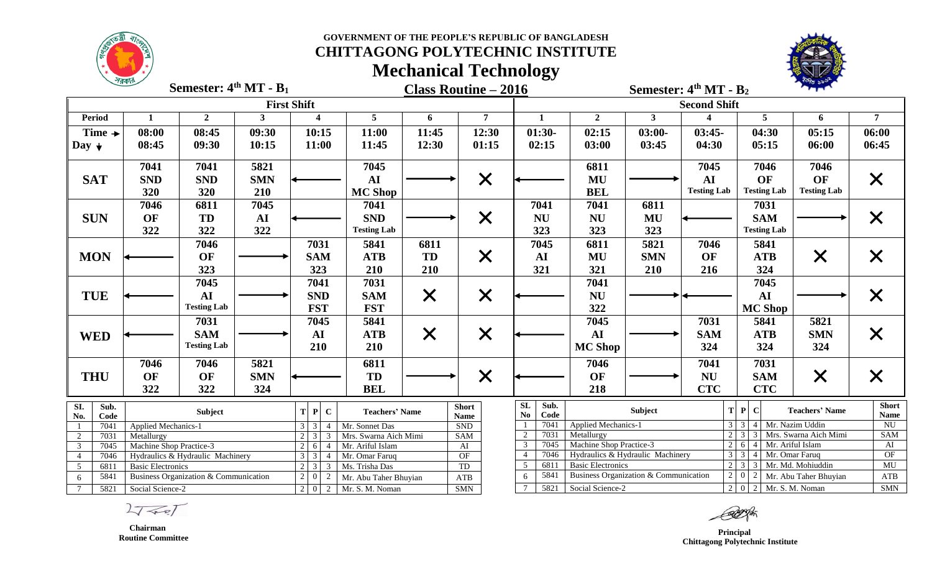

# **CHITTAGONG POLYTECHNIC INSTITUTE Mechanical Technology**



**Class Routine – 2016 Semester: 4 Semester: 4 th MT - B<sup>2</sup> th MT - B<sup>1</sup>**

|                                  |                                                                                                                                                           |                    |            | <b>First Shift</b>                  |                       |                             | <b>Second Shift</b>                   |                                  |                                       |                                         |                              |                                                  |                                          |                               |  |  |  |
|----------------------------------|-----------------------------------------------------------------------------------------------------------------------------------------------------------|--------------------|------------|-------------------------------------|-----------------------|-----------------------------|---------------------------------------|----------------------------------|---------------------------------------|-----------------------------------------|------------------------------|--------------------------------------------------|------------------------------------------|-------------------------------|--|--|--|
| <b>Period</b>                    |                                                                                                                                                           | $\overline{2}$     | 3          | $\boldsymbol{4}$                    | 5                     | 6                           | 7                                     | 1                                | $\overline{2}$                        | $\mathbf{3}$                            |                              | 5                                                | 6                                        | $\overline{7}$                |  |  |  |
| Time $\rightarrow$               | 08:00                                                                                                                                                     | 08:45              | 09:30      | 10:15                               | 11:00                 | 11:45                       | 12:30                                 | $01:30-$                         | 02:15                                 | $03:00-$                                | $03:45-$                     | 04:30                                            | 05:15                                    | 06:00                         |  |  |  |
| Day $\downarrow$                 | 08:45                                                                                                                                                     | 09:30              | 10:15      | 11:00                               | 11:45                 | 12:30                       | 01:15                                 | 02:15                            | 03:00                                 | 03:45                                   | 04:30                        | 05:15                                            | 06:00                                    | 06:45                         |  |  |  |
|                                  |                                                                                                                                                           |                    |            |                                     |                       |                             |                                       |                                  |                                       |                                         |                              |                                                  |                                          |                               |  |  |  |
|                                  | 7041                                                                                                                                                      | 7041               | 5821       |                                     | 7045                  |                             |                                       |                                  | 6811                                  |                                         | 7045                         | 7046                                             | 7046                                     |                               |  |  |  |
| <b>SAT</b>                       | <b>SND</b>                                                                                                                                                | <b>SND</b>         | <b>SMN</b> |                                     | AI                    |                             | $\times$                              |                                  | MU                                    |                                         | AI                           | OF                                               | OF                                       | $\bm{\mathsf{X}}$             |  |  |  |
|                                  | 320                                                                                                                                                       | 320                | 210        |                                     | <b>MC Shop</b>        |                             |                                       |                                  | <b>BEL</b>                            |                                         | <b>Testing Lab</b>           | <b>Testing Lab</b>                               | <b>Testing Lab</b>                       |                               |  |  |  |
|                                  | 7046                                                                                                                                                      | 6811               | 7045       |                                     | 7041                  |                             |                                       | 7041                             | 7041                                  | 6811                                    |                              | 7031                                             |                                          |                               |  |  |  |
| <b>SUN</b>                       | OF                                                                                                                                                        | TD                 | ${\bf AI}$ |                                     | <b>SND</b>            |                             | $\times$                              | <b>NU</b>                        | <b>NU</b>                             | MU                                      |                              | <b>SAM</b>                                       |                                          | $\bm{\mathsf{X}}$             |  |  |  |
|                                  | 322                                                                                                                                                       | 322                | 322        |                                     | <b>Testing Lab</b>    |                             |                                       | 323                              | 323                                   | 323                                     |                              | <b>Testing Lab</b>                               |                                          |                               |  |  |  |
|                                  |                                                                                                                                                           | 7046               |            | 7031                                | 5841                  | 6811                        |                                       | 7045                             | 6811                                  | 5821                                    | 7046                         | 5841                                             |                                          |                               |  |  |  |
| <b>MON</b>                       |                                                                                                                                                           | OF                 |            | <b>SAM</b>                          | <b>ATB</b>            | TD                          | $\bm{\mathsf{X}}$                     | AI                               | MU                                    | <b>SMN</b>                              | OF                           | <b>ATB</b>                                       | $\bm{\mathsf{X}}$                        | $\bm{\times}$                 |  |  |  |
|                                  |                                                                                                                                                           | 323                |            | 323                                 | 210                   | 210                         |                                       | 321                              | 321                                   | 210                                     | 216                          | 324                                              |                                          |                               |  |  |  |
|                                  |                                                                                                                                                           | 7045               |            | 7041                                | 7031                  |                             |                                       |                                  | 7041                                  |                                         |                              | 7045                                             |                                          |                               |  |  |  |
| <b>TUE</b>                       |                                                                                                                                                           | AI                 |            | <b>SND</b>                          | <b>SAM</b>            | $\times$                    | $\times$                              |                                  | <b>NU</b>                             |                                         |                              | AI                                               |                                          | $\times$                      |  |  |  |
|                                  |                                                                                                                                                           | <b>Testing Lab</b> |            | <b>FST</b>                          | <b>FST</b>            |                             |                                       |                                  | 322                                   |                                         |                              | <b>MC Shop</b>                                   |                                          |                               |  |  |  |
|                                  |                                                                                                                                                           | 7031               |            | 7045                                | 5841                  |                             |                                       |                                  | 7045                                  |                                         | 7031                         | 5841                                             | 5821                                     |                               |  |  |  |
|                                  |                                                                                                                                                           | <b>SAM</b>         |            | AI                                  | <b>ATB</b>            |                             |                                       |                                  | AI                                    |                                         | <b>SAM</b>                   | <b>ATB</b>                                       | <b>SMN</b>                               |                               |  |  |  |
| <b>WED</b>                       |                                                                                                                                                           | <b>Testing Lab</b> |            | 210                                 | 210                   | $\bm{\times}$               | $\times$                              |                                  | <b>MC Shop</b>                        |                                         | 324                          | 324                                              | 324                                      | $\bm{\times}$                 |  |  |  |
|                                  |                                                                                                                                                           |                    |            |                                     |                       |                             |                                       |                                  |                                       |                                         |                              |                                                  |                                          |                               |  |  |  |
|                                  | 7046                                                                                                                                                      | 7046               | 5821       |                                     | 6811                  |                             |                                       |                                  | 7046                                  |                                         | 7041                         | 7031                                             |                                          |                               |  |  |  |
| <b>THU</b>                       | OF                                                                                                                                                        | OF                 | <b>SMN</b> |                                     | TD                    |                             | $\times$                              |                                  | OF                                    |                                         | <b>NU</b>                    | <b>SAM</b>                                       | $\times$                                 | $\bm{\mathsf{X}}$             |  |  |  |
|                                  | 322                                                                                                                                                       | 322                | 324        |                                     | <b>BEL</b>            |                             |                                       |                                  | 218                                   |                                         | <b>CTC</b>                   | <b>CTC</b>                                       |                                          |                               |  |  |  |
| $\overline{SI}$ .<br>Sub.        |                                                                                                                                                           |                    |            |                                     |                       |                             | <b>Short</b>                          | $\overline{\text{SL}}$<br>Sub.   |                                       | Subject                                 |                              | T P <br>$\mathbf C$                              | <b>Teachers' Name</b>                    | <b>Short</b>                  |  |  |  |
| No.<br>Code                      |                                                                                                                                                           | Subject            |            | T P <br>$\mathbf C$                 | <b>Teachers' Name</b> |                             | <b>Name</b>                           | $\mathbf{N}\mathbf{o}$<br>Code   |                                       |                                         |                              |                                                  |                                          | <b>Name</b>                   |  |  |  |
| 7041                             | <b>Applied Mechanics-1</b>                                                                                                                                |                    |            | $3 \mid 3$<br>$\boldsymbol{\Delta}$ | Mr. Sonnet Das        |                             | <b>SND</b>                            | 7041<br>7031                     | <b>Applied Mechanics-1</b>            |                                         |                              | $3 \mid 3 \mid 4 \mid$<br>$2 \mid 3 \mid 3 \mid$ | Mr. Nazim Uddin<br>Mrs. Swarna Aich Mimi | $\overline{NU}$<br><b>SAM</b> |  |  |  |
| $\overline{2}$<br>$\overline{3}$ | Mrs. Swarna Aich Mimi<br>$2 \mid 3$<br>7031<br>Metallurgy<br>Machine Shop Practice-3<br>Mr. Ariful Islam<br>7045<br>6<br>2 <sub>1</sub><br>$\overline{4}$ |                    |            |                                     | <b>SAM</b><br>AI      | 2<br>7045<br>$\overline{3}$ | Metallurgy<br>Machine Shop Practice-3 |                                  | 2 <sup>1</sup>                        | Mr. Ariful Islam<br>6<br>$\overline{4}$ |                              | AI                                               |                                          |                               |  |  |  |
| $\overline{4}$                   | $3 \mid 3$<br>7046<br>Hydraulics & Hydraulic Machinery<br>$\overline{4}$<br>Mr. Omar Faruq                                                                |                    |            |                                     |                       | OF                          | 7046<br>$\overline{4}$                | Hydraulics & Hydraulic Machinery |                                       |                                         | $3 \mid 3$<br>Mr. Omar Faruq |                                                  | OF                                       |                               |  |  |  |
| $5\overline{)}$<br>6811          | $2 \overline{3}$<br><b>Basic Electronics</b><br>$\overline{3}$                                                                                            |                    |            | Ms. Trisha Das                      |                       | <b>TD</b>                   | 6811<br>5                             | <b>Basic Electronics</b>         |                                       |                                         | $2 \mid 3$                   | Mr. Md. Mohiuddin                                | MU                                       |                               |  |  |  |
| 5841<br>6                        | Business Organization & Communication<br>$\overline{2}$                                                                                                   |                    |            | $\mathbf{0}$<br>$\overline{2}$      | Mr. Abu Taher Bhuyian |                             | ATB                                   | 5841<br>6                        | Business Organization & Communication |                                         | $2\vert$                     | $\sqrt{2}$                                       | Mr. Abu Taher Bhuyian                    | ATB                           |  |  |  |
| 5821<br>$\tau$                   | Social Science-2                                                                                                                                          |                    |            | $2 \mid 0$<br>$\overline{2}$        | Mr. S. M. Noman       |                             | <b>SMN</b>                            | 5821<br>$\overline{7}$           | Social Science-2                      |                                         |                              | $\boxed{2}$   0   2   Mr. S. M. Noman            |                                          |                               |  |  |  |

 $2777$ 

 **Chairman Routine Committee**

 **Principal Chittagong Polytechnic Institute**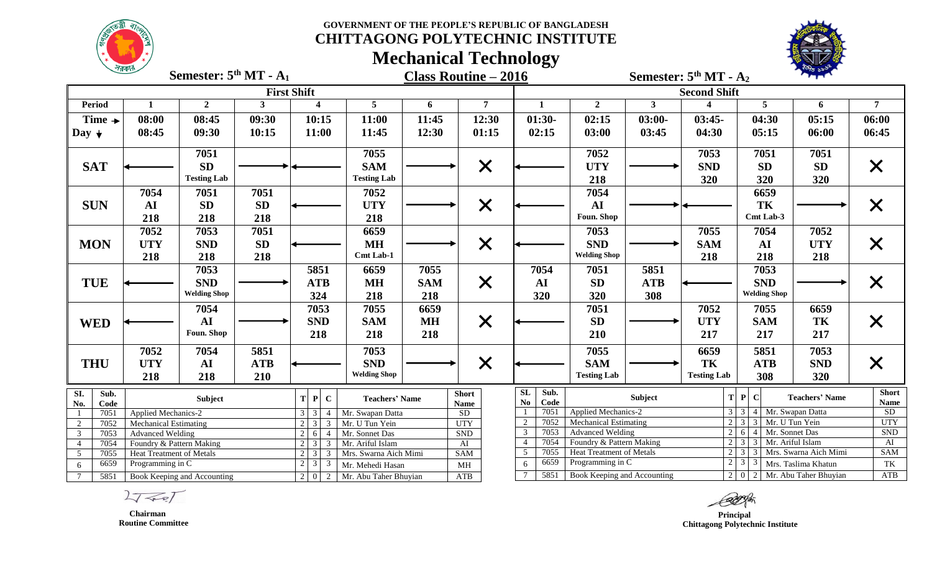**CHITTAGONG POLYTECHNIC INSTITUTE**

**Mechanical Technology**



|                                                                                            | সরকার স                                                                                                                                                                       | Semester: $5th MT - A1$ |                |                        |                                  |            | <b>Class Routine - 2016</b>  | ~                                            | Semester: $5th MT - A2$    |                                       |                                                                                        |                        |                       |                   |  |  |  |
|--------------------------------------------------------------------------------------------|-------------------------------------------------------------------------------------------------------------------------------------------------------------------------------|-------------------------|----------------|------------------------|----------------------------------|------------|------------------------------|----------------------------------------------|----------------------------|---------------------------------------|----------------------------------------------------------------------------------------|------------------------|-----------------------|-------------------|--|--|--|
|                                                                                            |                                                                                                                                                                               |                         |                | <b>First Shift</b>     |                                  |            |                              |                                              |                            |                                       | <b>Second Shift</b>                                                                    |                        |                       |                   |  |  |  |
| <b>Period</b>                                                                              | 1                                                                                                                                                                             | $\overline{2}$          | $\mathbf{3}$   | $\boldsymbol{4}$       | $\overline{5}$                   | 6          | $\overline{7}$               | $\mathbf{1}$                                 | $\overline{2}$             | $\mathbf{3}$                          |                                                                                        | $5\overline{)}$        | 6                     | 7 <sup>1</sup>    |  |  |  |
| Time $\rightarrow$                                                                         | 08:00                                                                                                                                                                         | 08:45                   | 09:30          | 10:15                  | 11:00                            | 11:45      | 12:30                        | $01:30-$                                     | 02:15                      | $03:00-$                              | $03:45-$                                                                               | 04:30                  | 05:15                 | 06:00             |  |  |  |
| Day $\downarrow$                                                                           | 08:45                                                                                                                                                                         | 09:30                   | 10:15          | 11:00                  | 11:45                            | 12:30      | 01:15                        | 02:15                                        | 03:00                      | 03:45                                 | 04:30                                                                                  | 05:15                  | 06:00                 | 06:45             |  |  |  |
|                                                                                            |                                                                                                                                                                               | 7051                    |                |                        | 7055                             |            |                              |                                              | 7052                       |                                       | 7053                                                                                   | 7051                   | 7051                  |                   |  |  |  |
| <b>SAT</b>                                                                                 |                                                                                                                                                                               | SD                      |                |                        | <b>SAM</b><br><b>Testing Lab</b> |            | $\times$                     |                                              | <b>UTY</b>                 |                                       | <b>SND</b>                                                                             | <b>SD</b>              | <b>SD</b>             | $\times$          |  |  |  |
|                                                                                            |                                                                                                                                                                               | <b>Testing Lab</b>      |                |                        |                                  |            |                              |                                              | 218                        |                                       | 320                                                                                    | 320                    | 320                   |                   |  |  |  |
|                                                                                            | 7054                                                                                                                                                                          | 7051                    | 7051           |                        | 7052                             |            |                              |                                              | 7054                       |                                       |                                                                                        | 6659                   |                       |                   |  |  |  |
| <b>SUN</b>                                                                                 | AI                                                                                                                                                                            | <b>SD</b>               | SD             |                        | <b>UTY</b>                       |            | $\times$                     |                                              | AI                         |                                       |                                                                                        | TK                     |                       | $\times$          |  |  |  |
|                                                                                            | 218                                                                                                                                                                           | 218                     | 218            |                        | 218                              |            |                              |                                              | Foun. Shop                 |                                       |                                                                                        | Cmt Lab-3              |                       |                   |  |  |  |
|                                                                                            | 7052                                                                                                                                                                          | 7053                    | 7051           |                        | 6659                             |            |                              |                                              | 7053                       |                                       | 7055                                                                                   | 7054                   | 7052                  |                   |  |  |  |
| <b>MON</b>                                                                                 | <b>UTY</b>                                                                                                                                                                    | <b>SND</b>              | <b>SD</b>      |                        | <b>MH</b>                        |            | $\times$                     |                                              | <b>SND</b>                 |                                       | <b>SAM</b>                                                                             | AI                     | <b>UTY</b>            | $\times$          |  |  |  |
|                                                                                            | 218                                                                                                                                                                           | 218                     | 218            |                        | Cmt Lab-1                        |            |                              |                                              | <b>Welding Shop</b>        |                                       | 218                                                                                    | 218                    | 218                   |                   |  |  |  |
|                                                                                            |                                                                                                                                                                               | 7053                    |                | 5851                   | 6659                             | 7055       |                              | 7054                                         | 7051                       | 5851                                  |                                                                                        | 7053                   |                       |                   |  |  |  |
| <b>TUE</b>                                                                                 |                                                                                                                                                                               | <b>SND</b>              |                | <b>ATB</b>             | <b>MH</b>                        | <b>SAM</b> | $\times$                     | AI                                           | <b>SD</b>                  | <b>ATB</b>                            |                                                                                        | <b>SND</b>             |                       | $\times$          |  |  |  |
|                                                                                            |                                                                                                                                                                               | <b>Welding Shop</b>     |                | 324                    | 218                              | 218        |                              | 320                                          | 320                        | 308                                   |                                                                                        | <b>Welding Shop</b>    |                       |                   |  |  |  |
|                                                                                            |                                                                                                                                                                               | 7054                    |                | 7053                   | 7055                             | 6659       |                              |                                              | 7051                       |                                       | 7052                                                                                   | 7055                   | 6659                  |                   |  |  |  |
| <b>WED</b>                                                                                 |                                                                                                                                                                               | AI                      |                | <b>SND</b>             | <b>SAM</b>                       | <b>MH</b>  | $\times$                     |                                              | <b>SD</b>                  |                                       | <b>UTY</b>                                                                             | <b>SAM</b>             | TK                    | X                 |  |  |  |
|                                                                                            |                                                                                                                                                                               | Foun. Shop              |                | 218                    | 218                              | 218        |                              |                                              | 210                        |                                       | 217                                                                                    | 217                    | 217                   |                   |  |  |  |
|                                                                                            | 7052                                                                                                                                                                          | 7054                    | 5851           |                        | 7053                             |            |                              |                                              | 7055                       |                                       | 6659                                                                                   | 5851                   | 7053                  |                   |  |  |  |
| <b>THU</b>                                                                                 | <b>UTY</b>                                                                                                                                                                    | AI                      | <b>ATB</b>     |                        | <b>SND</b>                       |            | $\times$                     |                                              | <b>SAM</b>                 |                                       | TK                                                                                     | <b>ATB</b>             | <b>SND</b>            | X                 |  |  |  |
|                                                                                            | 218                                                                                                                                                                           | 218                     | 210            |                        | <b>Welding Shop</b>              |            |                              |                                              | <b>Testing Lab</b>         |                                       | <b>Testing Lab</b>                                                                     | 308                    | 320                   |                   |  |  |  |
| SI.<br>Sub.                                                                                |                                                                                                                                                                               | <b>Subject</b>          |                | $T$ $P$<br>$\mathbf C$ | <b>Teachers' Name</b>            |            | <b>Short</b>                 | <b>SL</b><br>Sub.                            |                            | Subject                               |                                                                                        | T P C                  | <b>Teachers' Name</b> | <b>Short</b>      |  |  |  |
| No.<br>Code                                                                                |                                                                                                                                                                               |                         |                |                        |                                  |            | <b>Name</b>                  | Code<br>N <sub>0</sub><br>7051               | <b>Applied Mechanics-2</b> |                                       |                                                                                        | 3 3 4 Mr. Swapan Datta |                       | <b>Name</b><br>SD |  |  |  |
| $\overline{2}$                                                                             | Mr. Swapan Datta<br>7051<br>Applied Mechanics-2<br>$\overline{3}$<br>3<br>4<br>$\mathfrak{Z}$<br>7052<br><b>Mechanical Estimating</b><br>2<br>$\mathcal{E}$<br>Mr. U Tun Yein |                         |                |                        | <b>SD</b><br><b>UTY</b>          | 7052       | <b>Mechanical Estimating</b> |                                              |                            | $2 \mid 3 \mid 3 \mid$ Mr. U Tun Yein |                                                                                        | <b>UTY</b>             |                       |                   |  |  |  |
| $\overline{3}$<br>7053                                                                     | $\overline{2}$<br>6<br><b>Advanced Welding</b><br>$\overline{4}$                                                                                                              |                         | Mr. Sonnet Das |                        | <b>SND</b>                       | 7053       | <b>Advanced Welding</b>      |                                              | 2 <sup>1</sup>             | $6 \mid 4$<br>Mr. Sonnet Das          |                                                                                        | <b>SND</b>             |                       |                   |  |  |  |
| 7054<br>$\overline{4}$                                                                     | Foundry & Pattern Making<br>3                                                                                                                                                 |                         |                | Mr. Ariful Islam       |                                  | AI         | 7054<br>$\overline{4}$       | Foundry & Pattern Making                     |                            | 2 <sup>1</sup>                        | $3 \mid 3$<br>Mr. Ariful Islam                                                         |                        | AI                    |                   |  |  |  |
| $\overline{5}$                                                                             | 7055<br>$2 \mid 3$<br>Mrs. Swarna Aich Mimi<br>Heat Treatment of Metals<br>3                                                                                                  |                         |                |                        |                                  | <b>SAM</b> | 7055<br>5<br>6659            | Heat Treatment of Metals<br>Programming in C |                            |                                       | 2 3 3 Mrs. Swarna Aich Mimi<br>$\boxed{2}$ $\boxed{3}$ $\boxed{3}$ Mrs. Taslima Khatun |                        | <b>SAM</b><br>TK      |                   |  |  |  |
| 6659<br>Programming in C<br>$\mathfrak{Z}$<br>$\overline{2}$<br>3<br>Mr. Mehedi Hasan<br>6 |                                                                                                                                                                               |                         |                |                        | MH                               | 5851       | Book Keeping and Accounting  |                                              |                            | $2   0   2  $ Mr. Abu Taher Bhuyian   |                                                                                        | ATB                    |                       |                   |  |  |  |
| 5851<br>$\tau$<br>Book Keeping and Accounting<br>$\overline{2}$                            |                                                                                                                                                                               |                         | $\Omega$<br>2  | Mr. Abu Taher Bhuyian  |                                  | ATB        |                              |                                              |                            |                                       |                                                                                        |                        |                       |                   |  |  |  |

 $2777$ 

 **Chairman Routine Committee**

 **Principal Chittagong Polytechnic Institute**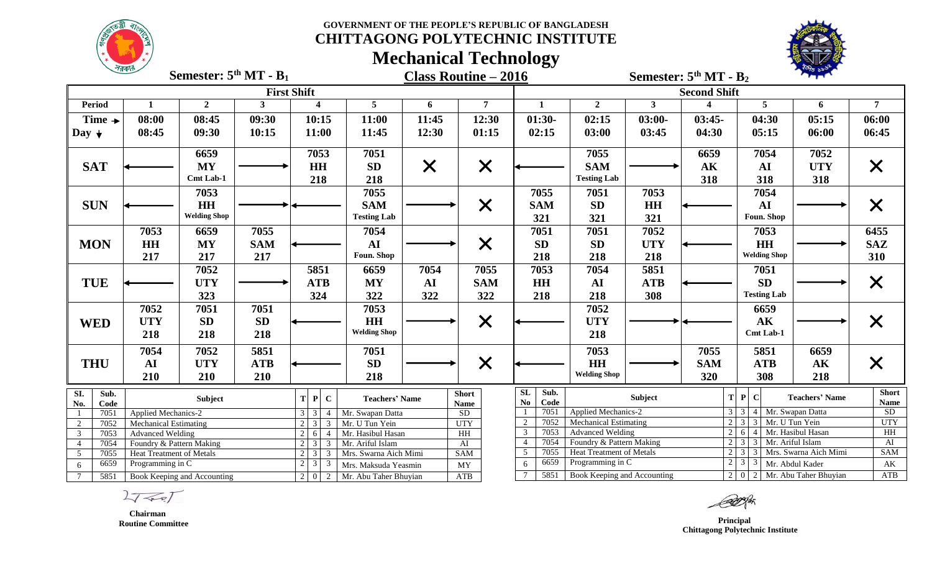**CHITTAGONG POLYTECHNIC INSTITUTE**

**Mechanical Technology**



|                                                        | সরকার                                                                                   | Semester: $5th MT - B1$ |                      |                                                          |                                    |                   | <b>Class Routine – 2016</b> | ~                              |                              |                                        | Semester: $5th MT - B2$           |                                          | <b>REC DAMS</b>        |                   |
|--------------------------------------------------------|-----------------------------------------------------------------------------------------|-------------------------|----------------------|----------------------------------------------------------|------------------------------------|-------------------|-----------------------------|--------------------------------|------------------------------|----------------------------------------|-----------------------------------|------------------------------------------|------------------------|-------------------|
|                                                        |                                                                                         |                         |                      | <b>First Shift</b>                                       |                                    |                   |                             |                                |                              |                                        | <b>Second Shift</b>               |                                          |                        |                   |
| Period                                                 | 1                                                                                       | $\overline{2}$          | $\mathbf{3}$         | $\overline{\mathbf{4}}$                                  | $5\phantom{.0}$                    | 6                 | $\overline{7}$              | $\mathbf{1}$                   | $\boldsymbol{2}$             | 3 <sup>1</sup>                         |                                   | 5                                        | 6                      | $\overline{7}$    |
| Time $\rightarrow$                                     | 08:00                                                                                   | 08:45                   | 09:30                | 10:15                                                    | 11:00                              | 11:45             | 12:30                       | $01:30-$                       | 02:15                        | $03:00-$                               | $03:45-$                          | 04:30                                    | 05:15                  | 06:00             |
| Day $\downarrow$                                       | 08:45                                                                                   | 09:30                   | 10:15                | 11:00                                                    | 11:45                              | 12:30             | 01:15                       | 02:15                          | 03:00                        | 03:45                                  | 04:30                             | 05:15                                    | 06:00                  | 06:45             |
|                                                        |                                                                                         | 6659                    |                      | 7053                                                     | 7051                               |                   |                             |                                | 7055                         |                                        | 6659                              | 7054                                     | 7052                   |                   |
| <b>SAT</b>                                             |                                                                                         | <b>MY</b>               |                      | HH                                                       | SD                                 |                   |                             |                                | <b>SAM</b>                   |                                        | $\mathbf{AK}$                     | AI                                       | <b>UTY</b>             |                   |
|                                                        |                                                                                         | Cmt Lab-1               |                      | 218                                                      | 218                                | $\bm{\mathsf{X}}$ | $\bm{\mathsf{X}}$           |                                | <b>Testing Lab</b>           |                                        | 318                               | 318                                      | 318                    | X                 |
|                                                        |                                                                                         | 7053                    |                      |                                                          | 7055                               |                   |                             | 7055                           | 7051                         | 7053                                   |                                   | 7054                                     |                        |                   |
| <b>SUN</b>                                             |                                                                                         | HH                      |                      |                                                          | <b>SAM</b>                         |                   | X                           | <b>SAM</b>                     | <b>SD</b>                    | <b>HH</b>                              |                                   | ${\bf AI}$                               |                        | $\times$          |
|                                                        |                                                                                         | <b>Welding Shop</b>     |                      |                                                          | <b>Testing Lab</b>                 |                   |                             | 321                            | 321                          | 321                                    |                                   | Foun. Shop                               |                        |                   |
|                                                        | 7053                                                                                    | 6659                    | 7055                 |                                                          | 7054                               |                   |                             | 7051                           | 7051                         | 7052                                   |                                   | 7053                                     |                        | 6455              |
| <b>MON</b>                                             | <b>HH</b>                                                                               | <b>MY</b>               | <b>SAM</b>           |                                                          | ${\bf AI}$                         |                   | X                           | <b>SD</b>                      | <b>SD</b>                    | <b>UTY</b>                             |                                   | <b>HH</b>                                |                        | <b>SAZ</b>        |
|                                                        | 217                                                                                     | 217                     | 217                  |                                                          | Foun. Shop                         |                   |                             | 218                            | 218                          | 218                                    |                                   | <b>Welding Shop</b>                      |                        | 310               |
|                                                        |                                                                                         | 7052                    |                      | 5851                                                     | 6659                               | 7054              | 7055                        | 7053                           | 7054                         | 5851                                   |                                   | 7051                                     |                        |                   |
| <b>TUE</b>                                             |                                                                                         | <b>UTY</b>              |                      | <b>ATB</b>                                               | <b>MY</b>                          | ${\bf AI}$        | <b>SAM</b>                  | <b>HH</b>                      | AI                           | <b>ATB</b>                             |                                   | <b>SD</b>                                |                        | $\bm{\mathsf{X}}$ |
|                                                        |                                                                                         | 323                     |                      | 324                                                      | 322                                | 322               | 322                         | 218                            | 218                          | 308                                    |                                   | <b>Testing Lab</b>                       |                        |                   |
|                                                        | 7052                                                                                    | 7051                    | 7051                 |                                                          | 7053                               |                   |                             |                                | 7052                         |                                        |                                   | 6659                                     |                        |                   |
| <b>WED</b>                                             | <b>UTY</b>                                                                              | <b>SD</b>               | SD                   |                                                          | HH                                 |                   | $\times$                    |                                | <b>UTY</b>                   |                                        |                                   | $\mathbf{A}\mathbf{K}$                   |                        | X                 |
|                                                        | 218                                                                                     | 218                     | 218                  |                                                          | <b>Welding Shop</b>                |                   |                             |                                | 218                          |                                        |                                   | Cmt Lab-1                                |                        |                   |
|                                                        | 7054                                                                                    | 7052                    | 5851                 |                                                          | 7051                               |                   |                             |                                | 7053                         |                                        | 7055                              | 5851                                     | 6659                   |                   |
| <b>THU</b>                                             | AI                                                                                      | <b>UTY</b>              | <b>ATB</b>           |                                                          | <b>SD</b>                          |                   | $\times$                    |                                | <b>HH</b>                    |                                        | <b>SAM</b>                        | <b>ATB</b>                               | $\mathbf{A}\mathbf{K}$ | X                 |
|                                                        | 210                                                                                     | 210                     | 210                  |                                                          | 218                                |                   |                             |                                | <b>Welding Shop</b>          |                                        | 320                               | 308                                      | 218                    |                   |
| SI.<br>Sub.                                            |                                                                                         | Subject                 |                      | P C<br>T.                                                | <b>Teachers' Name</b>              |                   | <b>Short</b>                | <b>SL</b><br>Sub.              |                              | Subject                                |                                   | T P <br>$\mathbf C$                      | <b>Teachers' Name</b>  | <b>Short</b>      |
| No.<br>Code                                            |                                                                                         |                         |                      |                                                          |                                    |                   | <b>Name</b>                 | N <sub>0</sub><br>Code<br>7051 | <b>Applied Mechanics-2</b>   |                                        |                                   | 3 3 4 Mr. Swapan Datta                   |                        | <b>Name</b><br>SD |
| 7051<br>$\overline{2}$<br>7052                         | Applied Mechanics-2                                                                     |                         |                      | $3 \mid 3$<br>$\overline{4}$<br>2 <sub>1</sub><br>3<br>3 | Mr. Swapan Datta<br>Mr. U Tun Yein |                   | SD<br><b>UTY</b>            | 7052<br>2                      | <b>Mechanical Estimating</b> |                                        |                                   | $2 \mid 3 \mid 3 \mid$<br>Mr. U Tun Yein |                        | <b>UTY</b>        |
| $\mathbf{3}$<br>7053                                   | <b>Mechanical Estimating</b><br>$2 \mid 6$<br><b>Advanced Welding</b><br>$\overline{4}$ |                         | Mr. Hasibul Hasan    |                                                          | HH                                 | 7053<br>3         | <b>Advanced Welding</b>     |                                |                              | $2 \mid 6 \mid$<br>4 Mr. Hasibul Hasan |                                   | HH                                       |                        |                   |
| $\overline{4}$<br>7054                                 | $\mathbf{3}$<br>2 <sup>1</sup><br>Foundry & Pattern Making<br>3                         |                         | Mr. Ariful Islam     |                                                          | $\overline{AI}$                    | 7054              | Foundry & Pattern Making    |                                |                              | $2 \mid 3$<br>Mr. Ariful Islam<br>3    |                                   | AI                                       |                        |                   |
| $\overline{5}$<br>7055                                 | <b>Heat Treatment of Metals</b>                                                         |                         |                      | 2 <sup>1</sup><br>3<br>3                                 | Mrs. Swarna Aich Mimi              |                   | SAM                         | 7055<br>5                      | Heat Treatment of Metals     |                                        |                                   | 2 3 3 Mrs. Swarna Aich Mimi              |                        | <b>SAM</b>        |
| 6659<br>$2 \mid 3 \mid$<br>Programming in C<br>3<br>6  |                                                                                         |                         | Mrs. Maksuda Yeasmin |                                                          | MY                                 | 6659<br>6         | Programming in C            |                                |                              | $2 \mid 3 \mid$<br>3                   | Mr. Abdul Kader                   | $\mathbf{A}\mathbf{K}$                   |                        |                   |
| $7\overline{ }$<br>5851<br>Book Keeping and Accounting |                                                                                         |                         | $2 \mid 0 \mid 2$    | Mr. Abu Taher Bhuyian                                    |                                    | ATB               | 5851                        | Book Keeping and Accounting    |                              |                                        | 2   0   2   Mr. Abu Taher Bhuyian |                                          | ATB                    |                   |

 $27 - 27$ 

 **Chairman Routine Committee**

*Principal*  **Chittagong Polytechnic Institute**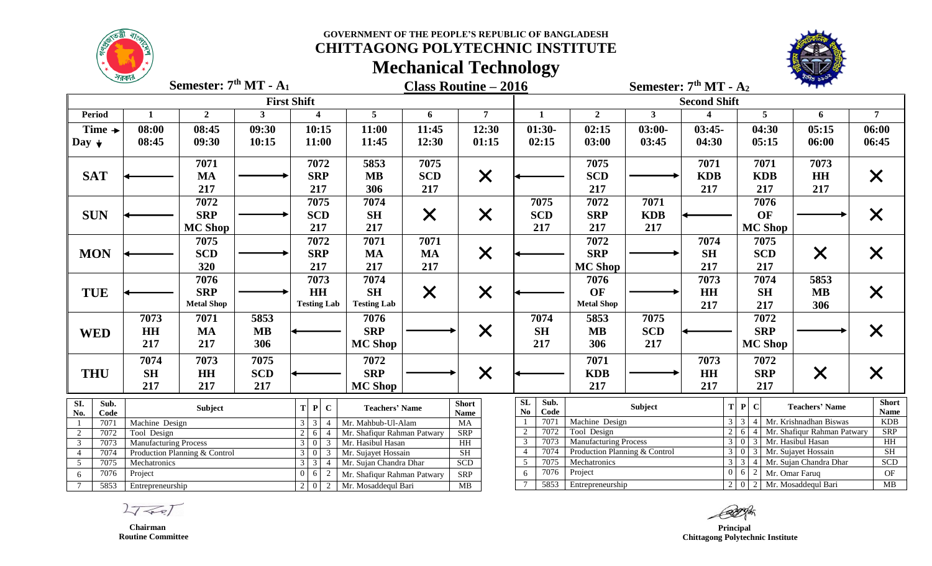**CHITTAGONG POLYTECHNIC INSTITUTE**



**Mechanical Technology**

| $\sim$<br>Semester: 7 <sup>th</sup> MT - A <sub>1</sub><br>Semester: $7th MT - A2$<br><b>Class Routine - 2016</b> |                    |                                                                                 |                   |                                 |                        |                         |                                                                                    |            |                                                       |                                                  |                                           |                         |                   |                     |                         |                                 |                     |                        |                           |
|-------------------------------------------------------------------------------------------------------------------|--------------------|---------------------------------------------------------------------------------|-------------------|---------------------------------|------------------------|-------------------------|------------------------------------------------------------------------------------|------------|-------------------------------------------------------|--------------------------------------------------|-------------------------------------------|-------------------------|-------------------|---------------------|-------------------------|---------------------------------|---------------------|------------------------|---------------------------|
|                                                                                                                   |                    |                                                                                 |                   |                                 | <b>First Shift</b>     |                         |                                                                                    |            |                                                       |                                                  |                                           |                         |                   |                     | <b>Second Shift</b>     |                                 |                     |                        |                           |
| <b>Period</b>                                                                                                     |                    | 1                                                                               | $\overline{2}$    | $\mathbf{3}$                    |                        | $\overline{\mathbf{4}}$ | 5 <sup>5</sup>                                                                     | 6          |                                                       | $\overline{7}$                                   |                                           | $\mathbf{1}$            | $\overline{2}$    | 3 <sup>1</sup>      | $\overline{\mathbf{4}}$ |                                 | $5\overline{)}$     | 6                      | 7                         |
|                                                                                                                   | Time $\rightarrow$ | 08:00                                                                           | 08:45             | 09:30                           |                        | 10:15                   | 11:00                                                                              | 11:45      |                                                       | 12:30                                            |                                           | $01:30-$                | 02:15             | $03:00 -$           | $03:45-$                |                                 | 04:30               | 05:15                  | 06:00                     |
| Day $\downarrow$                                                                                                  |                    | 08:45                                                                           | 09:30             | 10:15                           |                        | 11:00                   | 11:45                                                                              | 12:30      |                                                       | 01:15                                            |                                           | 02:15                   | 03:00             | 03:45               | 04:30                   |                                 | 05:15               | 06:00                  | 06:45                     |
|                                                                                                                   |                    |                                                                                 | 7071              |                                 |                        | 7072                    | 5853                                                                               | 7075       |                                                       |                                                  |                                           |                         | 7075              |                     | 7071                    |                                 | 7071                | 7073                   |                           |
| <b>SAT</b>                                                                                                        |                    |                                                                                 | MA                |                                 |                        | <b>SRP</b>              | <b>MB</b>                                                                          | <b>SCD</b> |                                                       | $\times$                                         |                                           |                         | <b>SCD</b>        |                     | <b>KDB</b>              |                                 | <b>KDB</b>          | <b>HH</b>              | X                         |
|                                                                                                                   |                    |                                                                                 | 217               |                                 |                        | 217                     | 306                                                                                | 217        |                                                       |                                                  |                                           |                         | 217               |                     | 217                     |                                 | 217                 | 217                    |                           |
|                                                                                                                   |                    |                                                                                 | 7072              |                                 |                        | 7075                    | 7074                                                                               |            |                                                       |                                                  |                                           | 7075                    | 7072              | 7071                |                         |                                 | 7076                |                        |                           |
| <b>SUN</b>                                                                                                        |                    |                                                                                 | <b>SRP</b>        |                                 |                        | <b>SCD</b>              | <b>SH</b>                                                                          | $\times$   |                                                       | $\times$                                         |                                           | <b>SCD</b>              | <b>SRP</b>        | <b>KDB</b>          |                         |                                 | OF                  |                        | X                         |
|                                                                                                                   |                    |                                                                                 | <b>MC Shop</b>    |                                 |                        | 217                     | 217                                                                                |            |                                                       |                                                  |                                           | 217                     | 217               | 217                 |                         |                                 | <b>MC Shop</b>      |                        |                           |
|                                                                                                                   |                    |                                                                                 | 7075              |                                 |                        | 7072                    | 7071                                                                               | 7071       |                                                       |                                                  |                                           |                         | 7072              |                     | 7074                    |                                 | 7075                |                        |                           |
| <b>MON</b>                                                                                                        |                    |                                                                                 | <b>SCD</b>        |                                 |                        | <b>SRP</b>              | <b>MA</b>                                                                          | <b>MA</b>  |                                                       | $\times$                                         |                                           |                         | <b>SRP</b>        |                     | <b>SH</b>               |                                 | <b>SCD</b>          | $\times$               | $\bm{\mathsf{X}}$         |
|                                                                                                                   |                    |                                                                                 | 320               |                                 |                        | 217                     | 217                                                                                | 217        |                                                       |                                                  |                                           |                         | <b>MC Shop</b>    |                     | 217                     |                                 | 217                 |                        |                           |
|                                                                                                                   |                    |                                                                                 | 7076              |                                 |                        | 7073                    | 7074                                                                               |            |                                                       |                                                  |                                           |                         | 7076              |                     | 7073                    |                                 | 7074                | 5853                   |                           |
| <b>TUE</b>                                                                                                        |                    |                                                                                 | <b>SRP</b>        |                                 |                        | <b>HH</b>               | <b>SH</b>                                                                          | $\times$   |                                                       | $\times$                                         |                                           |                         | OF                |                     | <b>HH</b>               |                                 | <b>SH</b>           | <b>MB</b>              | $\times$                  |
|                                                                                                                   |                    |                                                                                 | <b>Metal Shop</b> |                                 |                        | <b>Testing Lab</b>      | <b>Testing Lab</b>                                                                 |            |                                                       |                                                  |                                           |                         | <b>Metal Shop</b> |                     | 217                     |                                 | 217                 | 306                    |                           |
|                                                                                                                   |                    | 7073                                                                            | 7071              | 5853                            |                        |                         | 7076                                                                               |            |                                                       |                                                  |                                           | 7074                    | 5853              | 7075                |                         |                                 | 7072                |                        |                           |
| <b>WED</b>                                                                                                        |                    | HH                                                                              | <b>MA</b>         | <b>MB</b>                       |                        |                         | <b>SRP</b>                                                                         |            |                                                       | $\times$                                         |                                           | <b>SH</b>               | <b>MB</b>         | <b>SCD</b>          |                         |                                 | <b>SRP</b>          |                        | X                         |
|                                                                                                                   |                    | 217                                                                             | 217               | 306                             |                        |                         | <b>MC Shop</b>                                                                     |            |                                                       |                                                  |                                           | 217                     | 306               | 217                 |                         |                                 | <b>MC Shop</b>      |                        |                           |
|                                                                                                                   |                    | 7074                                                                            | 7073              | 7075                            |                        |                         | 7072                                                                               |            |                                                       |                                                  |                                           | 7071                    |                   |                     | 7073                    |                                 | 7072                |                        |                           |
| <b>THU</b>                                                                                                        |                    | <b>SH</b>                                                                       | <b>HH</b>         | <b>SCD</b>                      |                        |                         | <b>SRP</b>                                                                         |            |                                                       | $\times$                                         |                                           | <b>KDB</b><br><b>HH</b> |                   |                     |                         | <b>SRP</b>                      | $\times$            | $\bm{\mathsf{X}}$      |                           |
|                                                                                                                   |                    | 217                                                                             | 217               | 217                             |                        |                         | <b>MC Shop</b>                                                                     |            |                                                       |                                                  |                                           |                         | 217               |                     | 217                     |                                 | 217                 |                        |                           |
| SI.                                                                                                               | Sub.               |                                                                                 | <b>Subject</b>    |                                 | $T$ $P$ $C$            |                         | <b>Teachers' Name</b>                                                              |            | <b>Short</b>                                          |                                                  | SL                                        | Sub.                    |                   | Subject             |                         | T P                             | $\mathbf C$         | <b>Teachers' Name</b>  | <b>Short</b>              |
| No.                                                                                                               | Code               |                                                                                 |                   |                                 |                        |                         |                                                                                    |            | <b>Name</b>                                           |                                                  | No.                                       | Code<br>7071            | Machine Design    |                     |                         | $3 \overline{\smash{\big)}\ 3}$ | $\overline{4}$      | Mr. Krishnadhan Biswas | <b>Name</b><br><b>KDB</b> |
| $\mathbf{1}$<br>2                                                                                                 | 7071<br>7072       | Machine Design<br>Tool Design                                                   |                   |                                 | $3 \mid 3 \mid 4$<br>6 | $\overline{4}$          | Mr. Mahbub-Ul-Alam<br>Mr. Shafiqur Rahman Patwary                                  |            | MA<br><b>SRP</b>                                      |                                                  |                                           | 7072<br>Tool Design     |                   | $\overline{2}$<br>6 | -4                      | Mr. Shafiqur Rahman Patwary     | <b>SRP</b>          |                        |                           |
| $\mathbf{3}$                                                                                                      | 7073               | <b>Manufacturing Process</b>                                                    |                   |                                 | $\overline{3}$ 0 3     |                         | Mr. Hasibul Hasan                                                                  |            | HH                                                    |                                                  | 3<br>7073<br><b>Manufacturing Process</b> |                         |                   | $3 \mid 0$          | $\overline{3}$          | Mr. Hasibul Hasan               | HH                  |                        |                           |
| $\overline{4}$                                                                                                    | 7074               | SH<br>Production Planning & Control<br>Mr. Sujayet Hossain<br>$3 \mid 0 \mid 3$ |                   |                                 | $\overline{4}$         | 7074                    | $3 \mid 0$<br>Mr. Sujayet Hossain<br>Production Planning & Control<br>$\mathbf{3}$ |            |                                                       |                                                  | SH                                        |                         |                   |                     |                         |                                 |                     |                        |                           |
| $\overline{5}$                                                                                                    | 7075               | Mechatronics                                                                    |                   |                                 | $3 \quad 3 \quad 4$    |                         | Mr. Sujan Chandra Dhar                                                             |            | 7075<br>5<br>$3 \mid 3$<br>Mechatronics<br><b>SCD</b> |                                                  | $\overline{4}$                            | Mr. Sujan Chandra Dhar  | SCD               |                     |                         |                                 |                     |                        |                           |
| 6                                                                                                                 | 7076               | Project                                                                         |                   |                                 | $0 \quad 6 \quad 2$    |                         | Mr. Shafiqur Rahman Patwary                                                        |            | <b>SRP</b>                                            |                                                  | 6                                         | 7076                    | Project           |                     |                         | $0\quad 6$                      | 2<br>Mr. Omar Faruq |                        | $\mathrm{OF}$             |
| $\tau$<br>5853<br>Entrepreneurship                                                                                |                    |                                                                                 |                   | 2   0   2   Mr. Mosaddequl Bari |                        | MB                      |                                                                                    |            | 5853                                                  | $2 0 2 $ Mr. Mosaddequl Bari<br>Entrepreneurship |                                           |                         |                   | $\mathbf{MB}$       |                         |                                 |                     |                        |                           |

 $27 - 7$ 

*Principal*  **Chittagong Polytechnic Institute**

 **Chairman Routine Committee**